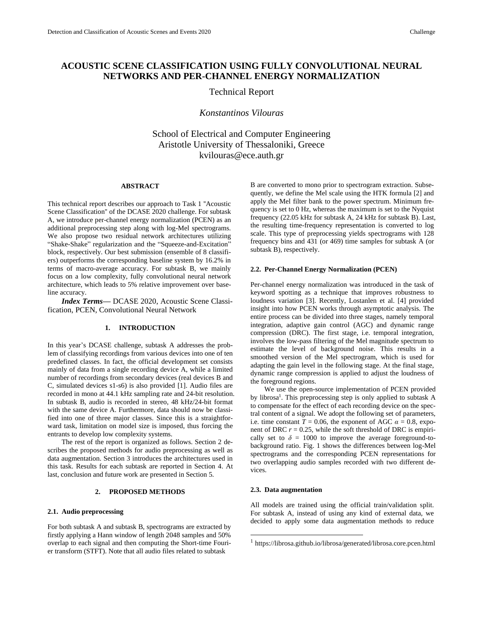# **ACOUSTIC SCENE CLASSIFICATION USING FULLY CONVOLUTIONAL NEURAL NETWORKS AND PER-CHANNEL ENERGY NORMALIZATION**

# Technical Report

*Konstantinos Vilouras*

School of Electrical and Computer Engineering Aristotle University of Thessaloniki, Greece kvilouras@ece.auth.gr

## **ABSTRACT**

This technical report describes our approach to Task 1 ''Acoustic Scene Classification'' of the DCASE 2020 challenge. For subtask A, we introduce per-channel energy normalization (PCEN) as an additional preprocessing step along with log-Mel spectrograms. We also propose two residual network architectures utilizing "Shake-Shake" regularization and the "Squeeze-and-Excitation" block, respectively. Our best submission (ensemble of 8 classifiers) outperforms the corresponding baseline system by 16.2% in terms of macro-average accuracy. For subtask B, we mainly focus on a low complexity, fully convolutional neural network architecture, which leads to 5% relative improvement over baseline accuracy.

*Index Terms—* DCASE 2020, Acoustic Scene Classification, PCEN, Convolutional Neural Network

## **1. INTRODUCTION**

In this year's DCASE challenge, subtask A addresses the problem of classifying recordings from various devices into one of ten predefined classes. In fact, the official development set consists mainly of data from a single recording device A, while a limited number of recordings from secondary devices (real devices B and C, simulated devices s1-s6) is also provided [1]. Audio files are recorded in mono at 44.1 kHz sampling rate and 24-bit resolution. In subtask B, audio is recorded in stereo, 48 kHz/24-bit format with the same device A. Furthermore, data should now be classified into one of three major classes. Since this is a straightforward task, limitation on model size is imposed, thus forcing the entrants to develop low complexity systems.

The rest of the report is organized as follows. Section 2 describes the proposed methods for audio preprocessing as well as data augmentation. Section 3 introduces the architectures used in this task. Results for each subtask are reported in Section 4. At last, conclusion and future work are presented in Section 5.

#### **2. PROPOSED METHODS**

## **2.1. Audio preprocessing**

For both subtask A and subtask B, spectrograms are extracted by firstly applying a Hann window of length 2048 samples and 50% overlap to each signal and then computing the Short-time Fourier transform (STFT). Note that all audio files related to subtask

B are converted to mono prior to spectrogram extraction. Subsequently, we define the Mel scale using the HTK formula [2] and apply the Mel filter bank to the power spectrum. Minimum frequency is set to 0 Hz, whereas the maximum is set to the Nyquist frequency (22.05 kHz for subtask A, 24 kHz for subtask B). Last, the resulting time-frequency representation is converted to log scale. This type of preprocessing yields spectrograms with 128 frequency bins and 431 (or 469) time samples for subtask A (or subtask B), respectively.

## **2.2. Per-Channel Energy Normalization (PCEN)**

Per-channel energy normalization was introduced in the task of keyword spotting as a technique that improves robustness to loudness variation [3]. Recently, Lostanlen et al. [4] provided insight into how PCEN works through asymptotic analysis. The entire process can be divided into three stages, namely temporal integration, adaptive gain control (AGC) and dynamic range compression (DRC). The first stage, i.e. temporal integration, involves the low-pass filtering of the Mel magnitude spectrum to estimate the level of background noise. This results in a smoothed version of the Mel spectrogram, which is used for adapting the gain level in the following stage. At the final stage, dynamic range compression is applied to adjust the loudness of the foreground regions.

We use the open-source implementation of PCEN provided by librosa<sup>1</sup>. This preprocessing step is only applied to subtask A to compensate for the effect of each recording device on the spectral content of a signal. We adopt the following set of parameters, i.e. time constant  $T = 0.06$ , the exponent of AGC  $\alpha = 0.8$ , exponent of DRC  $r = 0.25$ , while the soft threshold of DRC is empirically set to  $\delta = 1000$  to improve the average foreground-tobackground ratio. Fig. 1 shows the differences between log-Mel spectrograms and the corresponding PCEN representations for two overlapping audio samples recorded with two different devices.

#### **2.3. Data augmentation**

All models are trained using the official train/validation split. For subtask A, instead of using any kind of external data, we decided to apply some data augmentation methods to reduce

<sup>1</sup> <https://librosa.github.io/librosa/generated/librosa.core.pcen.html>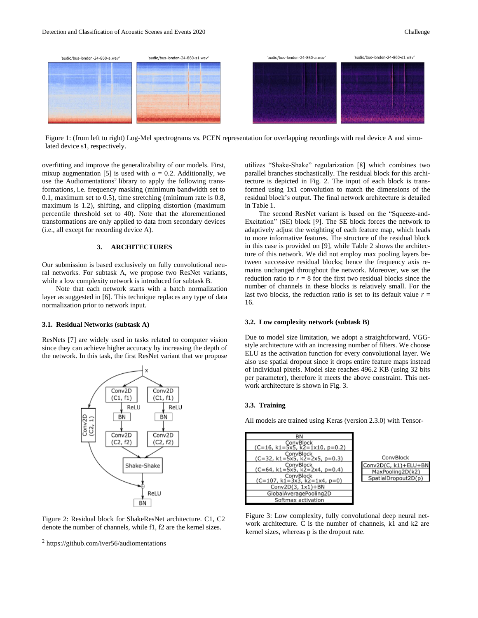

Figure 1: (from left to right) Log-Mel spectrograms vs. PCEN representation for overlapping recordings with real device A and simulated device s1, respectively.

overfitting and improve the generalizability of our models. First, mixup augmentation [5] is used with  $\alpha = 0.2$ . Additionally, we use the Audiomentations<sup>2</sup> library to apply the following transformations, i.e. frequency masking (minimum bandwidth set to 0.1, maximum set to 0.5), time stretching (minimum rate is 0.8, maximum is 1.2), shifting, and clipping distortion (maximum percentile threshold set to 40). Note that the aforementioned transformations are only applied to data from secondary devices (i.e., all except for recording device A).

## **3. ARCHITECTURES**

Our submission is based exclusively on fully convolutional neural networks. For subtask A, we propose two ResNet variants, while a low complexity network is introduced for subtask B.

Note that each network starts with a batch normalization layer as suggested in [6]. This technique replaces any type of data normalization prior to network input.

#### **3.1. Residual Networks (subtask A)**

ResNets [7] are widely used in tasks related to computer vision since they can achieve higher accuracy by increasing the depth of the network. In this task, the first ResNet variant that we propose



Figure 2: Residual block for ShakeResNet architecture. C1, C2 denote the number of channels, while f1, f2 are the kernel sizes.

utilizes "Shake-Shake" regularization [8] which combines two parallel branches stochastically. The residual block for this architecture is depicted in Fig. 2. The input of each block is transformed using 1x1 convolution to match the dimensions of the residual block's output. The final network architecture is detailed in Table 1.

The second ResNet variant is based on the "Squeeze-and-Excitation" (SE) block [9]. The SE block forces the network to adaptively adjust the weighting of each feature map, which leads to more informative features. The structure of the residual block in this case is provided on [9], while Table 2 shows the architecture of this network. We did not employ max pooling layers between successive residual blocks; hence the frequency axis remains unchanged throughout the network. Moreover, we set the reduction ratio to  $r = 8$  for the first two residual blocks since the number of channels in these blocks is relatively small. For the last two blocks, the reduction ratio is set to its default value  $r =$ 16.

#### **3.2. Low complexity network (subtask B)**

Due to model size limitation, we adopt a straightforward, VGGstyle architecture with an increasing number of filters. We choose ELU as the activation function for every convolutional layer. We also use spatial dropout since it drops entire feature maps instead of individual pixels. Model size reaches 496.2 KB (using 32 bits per parameter), therefore it meets the above constraint. This network architecture is shown in Fig. 3.

#### **3.3. Training**

All models are trained using Keras (version 2.3.0) with Tensor-

| BN                               |
|----------------------------------|
| ConvBlock                        |
| $(C=16, k1=5x5, k2=1x10, p=0.2)$ |
| ConvBlock                        |
| (C=32, k1=5x5, k2=2x5, p=0.3)    |
| ConvBlock                        |
| $(C=64, k1=5x5, k2=2x4, p=0.4)$  |
| ConvBlock                        |
| $(C=107, k1=3x3, k2=1x4, p=0)$   |
| Conv2D(3, 1x1)+BN                |
| GlobalAveragePooling2D           |
| Softmax activation               |



Figure 3: Low complexity, fully convolutional deep neural network architecture. C is the number of channels, k1 and k2 are kernel sizes, whereas p is the dropout rate.

<sup>2</sup> <https://github.com/iver56/audiomentations>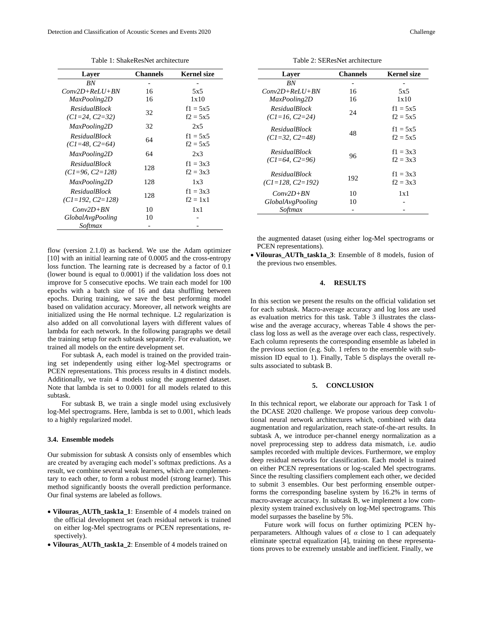| Layer                                        | <b>Channels</b> | <b>Kernel size</b>       |
|----------------------------------------------|-----------------|--------------------------|
| <b>BN</b>                                    |                 |                          |
| $Conv2D+ReLU+BN$                             | 16              | 5x5                      |
| MaxPooling2D                                 | 16              | 1x10                     |
| <b>ResidualBlock</b><br>$(CI = 24, C2 = 32)$ | 32              | $f1 = 5x5$<br>$f2 = 5x5$ |
| MaxPooling2D                                 | 32              | 2x5                      |
| <b>ResidualBlock</b><br>$(CI = 48, C2 = 64)$ | 64              | $f1 = 5x5$<br>$f2 = 5x5$ |
| MaxPooling2D                                 | 64              | 2x3                      |
| <b>ResidualBlock</b><br>$(CI=96, C2=128)$    | 128             | $f1 = 3x3$<br>$f2 = 3x3$ |
| MaxPooling2D                                 | 128             | 1x3                      |
| <b>ResidualBlock</b><br>$(CI=192, C2=128)$   | 128             | $f1 = 3x3$<br>$f2 = 1x1$ |
| $Conv2D+BN$                                  | 10              | 1x1                      |
| <i>GlobalAvgPooling</i>                      | 10              |                          |
| Softmax                                      |                 |                          |

Table 1: ShakeResNet architecture

flow (version 2.1.0) as backend. We use the Adam optimizer [10] with an initial learning rate of 0.0005 and the cross-entropy loss function. The learning rate is decreased by a factor of 0.1 (lower bound is equal to 0.0001) if the validation loss does not improve for 5 consecutive epochs. We train each model for 100 epochs with a batch size of 16 and data shuffling between epochs. During training, we save the best performing model based on validation accuracy. Moreover, all network weights are initialized using the He normal technique. L2 regularization is also added on all convolutional layers with different values of lambda for each network. In the following paragraphs we detail the training setup for each subtask separately. For evaluation, we trained all models on the entire development set.

For subtask A, each model is trained on the provided training set independently using either log-Mel spectrograms or PCEN representations. This process results in 4 distinct models. Additionally, we train 4 models using the augmented dataset. Note that lambda is set to 0.0001 for all models related to this subtask.

For subtask B, we train a single model using exclusively log-Mel spectrograms. Here, lambda is set to 0.001, which leads to a highly regularized model.

# **3.4. Ensemble models**

Our submission for subtask A consists only of ensembles which are created by averaging each model's softmax predictions. As a result, we combine several weak learners, which are complementary to each other, to form a robust model (strong learner). This method significantly boosts the overall prediction performance. Our final systems are labeled as follows.

- **Vilouras\_AUTh\_task1a\_1**: Ensemble of 4 models trained on the official development set (each residual network is trained on either log-Mel spectrograms or PCEN representations, respectively).
- **Vilouras\_AUTh\_task1a\_2**: Ensemble of 4 models trained on

Table 2: SEResNet architecture

| Layer                                        | Channels | Kernel size              |
|----------------------------------------------|----------|--------------------------|
| <b>BN</b>                                    |          |                          |
| $Conv2D+ReLU+BN$                             | 16       | 5x5                      |
| MaxPooling2D                                 | 16       | 1x10                     |
| <b>ResidualBlock</b><br>$(CI=16, C2=24)$     | 24       | $f1 = 5x5$<br>$f2 = 5x5$ |
| <b>ResidualBlock</b><br>$(CI = 32, C2 = 48)$ | 48       | $f1 = 5x5$<br>$f2 = 5x5$ |
| <b>ResidualBlock</b><br>$(CI = 64, C2 = 96)$ | 96       | $f1 = 3x3$<br>$f2 = 3x3$ |
| <b>ResidualBlock</b><br>$(CI=128, C2=192)$   | 192      | $f1 = 3x3$<br>$f2 = 3x3$ |
| $Conv2D+BN$                                  | 10       | 1x1                      |
| <i>GlobalAvgPooling</i>                      | 10       |                          |
| Softmax                                      |          |                          |

the augmented dataset (using either log-Mel spectrograms or PCEN representations).

• **Vilouras\_AUTh\_task1a\_3**: Ensemble of 8 models, fusion of the previous two ensembles.

## **4. RESULTS**

In this section we present the results on the official validation set for each subtask. Macro-average accuracy and log loss are used as evaluation metrics for this task. Table 3 illustrates the classwise and the average accuracy, whereas Table 4 shows the perclass log loss as well as the average over each class, respectively. Each column represents the corresponding ensemble as labeled in the previous section (e.g. Sub. 1 refers to the ensemble with submission ID equal to 1). Finally, Table 5 displays the overall results associated to subtask B.

## **5. CONCLUSION**

In this technical report, we elaborate our approach for Task 1 of the DCASE 2020 challenge. We propose various deep convolutional neural network architectures which, combined with data augmentation and regularization, reach state-of-the-art results. In subtask A, we introduce per-channel energy normalization as a novel preprocessing step to address data mismatch, i.e. audio samples recorded with multiple devices. Furthermore, we employ deep residual networks for classification. Each model is trained on either PCEN representations or log-scaled Mel spectrograms. Since the resulting classifiers complement each other, we decided to submit 3 ensembles. Our best performing ensemble outperforms the corresponding baseline system by 16.2% in terms of macro-average accuracy. In subtask B, we implement a low complexity system trained exclusively on log-Mel spectrograms. This model surpasses the baseline by 5%.

Future work will focus on further optimizing PCEN hyperparameters. Although values of *α* close to 1 can adequately eliminate spectral equalization [4], training on these representations proves to be extremely unstable and inefficient. Finally, we